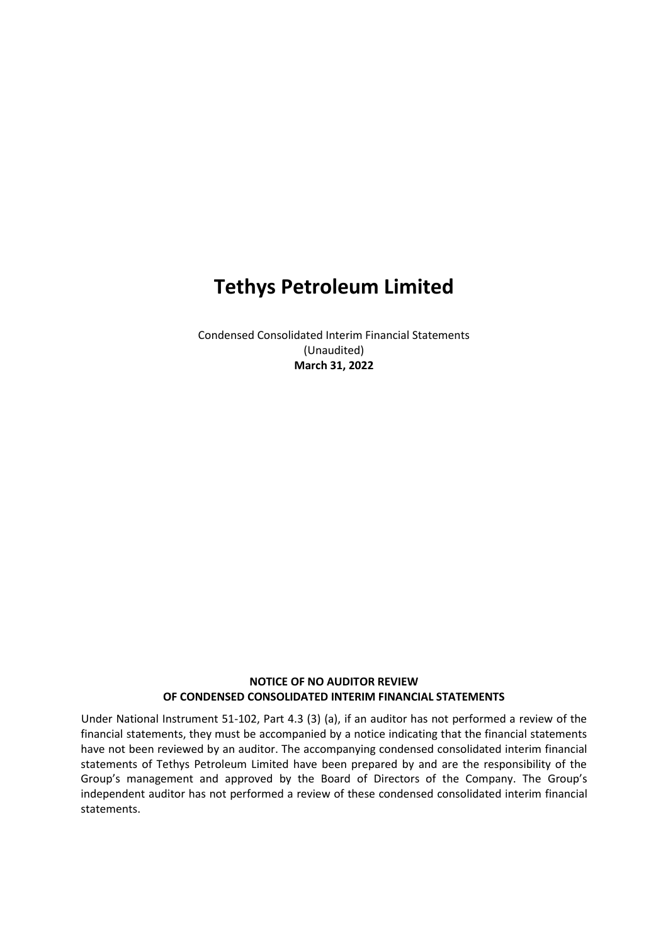Condensed Consolidated Interim Financial Statements (Unaudited) **March 31, 2022**

### **NOTICE OF NO AUDITOR REVIEW OF CONDENSED CONSOLIDATED INTERIM FINANCIAL STATEMENTS**

Under National Instrument 51-102, Part 4.3 (3) (a), if an auditor has not performed a review of the financial statements, they must be accompanied by a notice indicating that the financial statements have not been reviewed by an auditor. The accompanying condensed consolidated interim financial statements of Tethys Petroleum Limited have been prepared by and are the responsibility of the Group's management and approved by the Board of Directors of the Company. The Group's independent auditor has not performed a review of these condensed consolidated interim financial statements.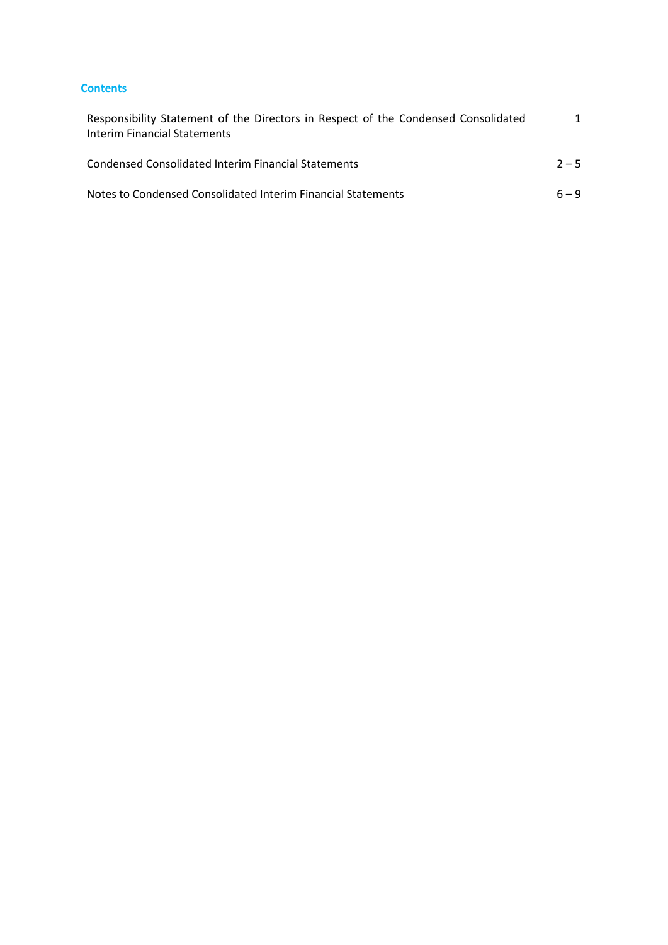#### **Contents**

| Responsibility Statement of the Directors in Respect of the Condensed Consolidated<br>Interim Financial Statements |         |
|--------------------------------------------------------------------------------------------------------------------|---------|
| Condensed Consolidated Interim Financial Statements                                                                | $2 - 5$ |
| Notes to Condensed Consolidated Interim Financial Statements                                                       | $6 - 9$ |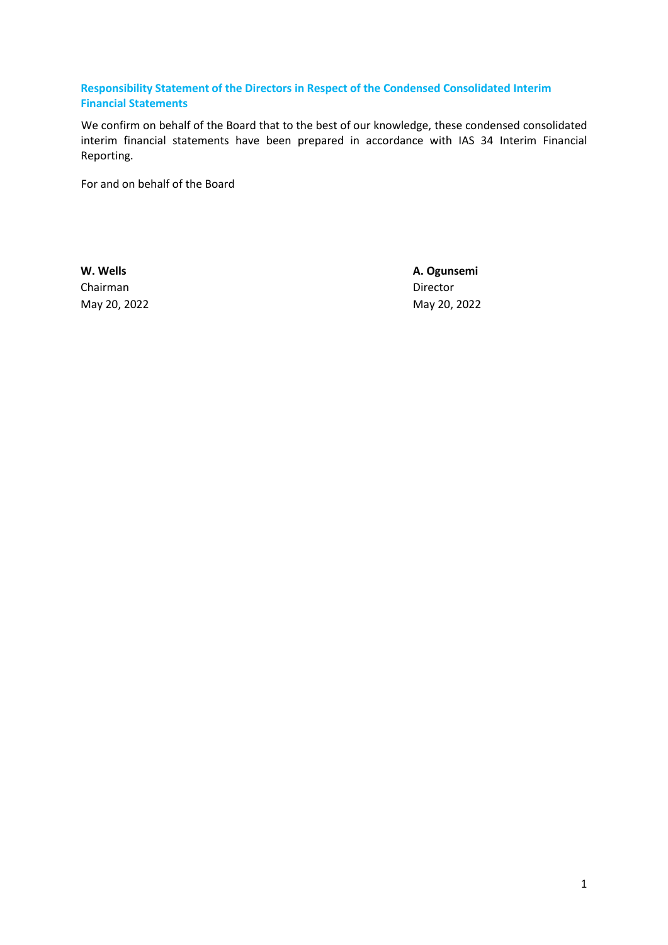### <span id="page-2-0"></span>**Responsibility Statement of the Directors in Respect of the Condensed Consolidated Interim Financial Statements**

We confirm on behalf of the Board that to the best of our knowledge, these condensed consolidated interim financial statements have been prepared in accordance with IAS 34 Interim Financial Reporting.

For and on behalf of the Board

Chairman Director

**W. Wells A. Ogunsemi** May 20, 2022 May 20, 2022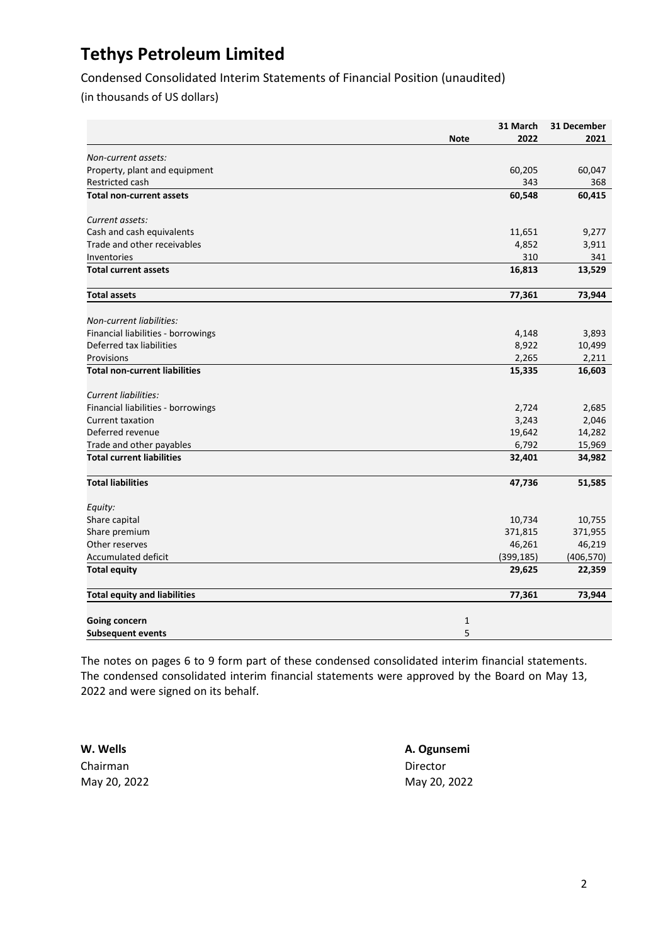Condensed Consolidated Interim Statements of Financial Position (unaudited)

(in thousands of US dollars)

|                                      |             | 31 March   | 31 December |
|--------------------------------------|-------------|------------|-------------|
|                                      | <b>Note</b> | 2022       | 2021        |
| Non-current assets:                  |             |            |             |
| Property, plant and equipment        |             | 60,205     | 60,047      |
| <b>Restricted cash</b>               |             | 343        | 368         |
| <b>Total non-current assets</b>      |             | 60,548     | 60,415      |
| Current assets:                      |             |            |             |
| Cash and cash equivalents            |             | 11,651     | 9,277       |
| Trade and other receivables          |             | 4,852      | 3,911       |
| Inventories                          |             | 310        | 341         |
| <b>Total current assets</b>          |             | 16,813     | 13,529      |
| <b>Total assets</b>                  |             | 77,361     | 73,944      |
| Non-current liabilities:             |             |            |             |
| Financial liabilities - borrowings   |             | 4,148      | 3,893       |
| Deferred tax liabilities             |             | 8,922      | 10,499      |
| Provisions                           |             | 2,265      | 2,211       |
| <b>Total non-current liabilities</b> |             | 15,335     | 16,603      |
|                                      |             |            |             |
| <b>Current liabilities:</b>          |             |            |             |
| Financial liabilities - borrowings   |             | 2,724      | 2,685       |
| <b>Current taxation</b>              |             | 3,243      | 2,046       |
| Deferred revenue                     |             | 19,642     | 14,282      |
| Trade and other payables             |             | 6,792      | 15,969      |
| <b>Total current liabilities</b>     |             | 32,401     | 34,982      |
| <b>Total liabilities</b>             |             | 47,736     | 51,585      |
| Equity:                              |             |            |             |
| Share capital                        |             | 10,734     | 10,755      |
| Share premium                        |             | 371,815    | 371,955     |
| Other reserves                       |             | 46,261     | 46,219      |
| <b>Accumulated deficit</b>           |             | (399, 185) | (406, 570)  |
| <b>Total equity</b>                  |             | 29,625     | 22,359      |
| <b>Total equity and liabilities</b>  |             | 77,361     | 73,944      |
| <b>Going concern</b>                 | 1           |            |             |
| <b>Subsequent events</b>             | 5           |            |             |

The notes on pages [6](#page-7-0) to 9 form part of these condensed consolidated interim financial statements. The condensed consolidated interim financial statements were approved by the Board on May 13, 2022 and were signed on its behalf.

**W. Wells A. Ogunsemi** Chairman Director

May 20, 2022 May 20, 2022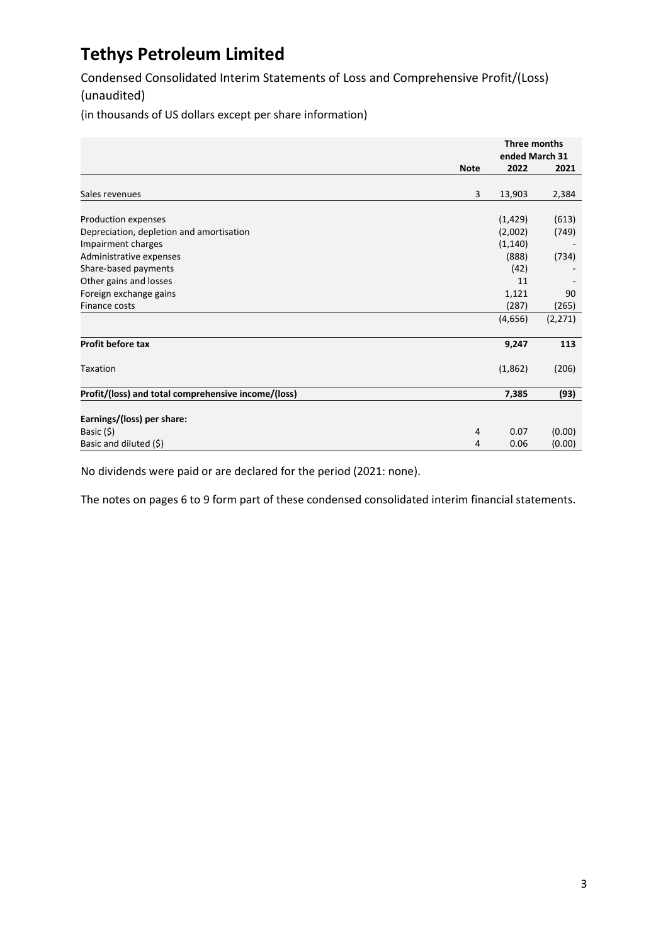Condensed Consolidated Interim Statements of Loss and Comprehensive Profit/(Loss) (unaudited)

(in thousands of US dollars except per share information)

|                                                     |             | Three months   |          |
|-----------------------------------------------------|-------------|----------------|----------|
|                                                     |             | ended March 31 |          |
|                                                     | <b>Note</b> | 2022           | 2021     |
|                                                     |             |                |          |
| Sales revenues                                      | 3           | 13,903         | 2,384    |
|                                                     |             |                |          |
| Production expenses                                 |             | (1, 429)       | (613)    |
| Depreciation, depletion and amortisation            |             | (2,002)        | (749)    |
| Impairment charges                                  |             | (1, 140)       |          |
| Administrative expenses                             |             | (888)          | (734)    |
| Share-based payments                                |             | (42)           |          |
| Other gains and losses                              |             | 11             |          |
| Foreign exchange gains                              |             | 1,121          | 90       |
| <b>Finance costs</b>                                |             | (287)          | (265)    |
|                                                     |             | (4,656)        | (2, 271) |
|                                                     |             |                |          |
| Profit before tax                                   |             | 9,247          | 113      |
| Taxation                                            |             | (1,862)        | (206)    |
|                                                     |             |                |          |
| Profit/(loss) and total comprehensive income/(loss) |             | 7,385          | (93)     |
|                                                     |             |                |          |
| Earnings/(loss) per share:                          |             |                |          |
| Basic (\$)                                          | 4           | 0.07           | (0.00)   |
| Basic and diluted (\$)                              | 4           | 0.06           | (0.00)   |

No dividends were paid or are declared for the period (2021: none).

The notes on pages [6](#page-7-0) to 9 form part of these condensed consolidated interim financial statements.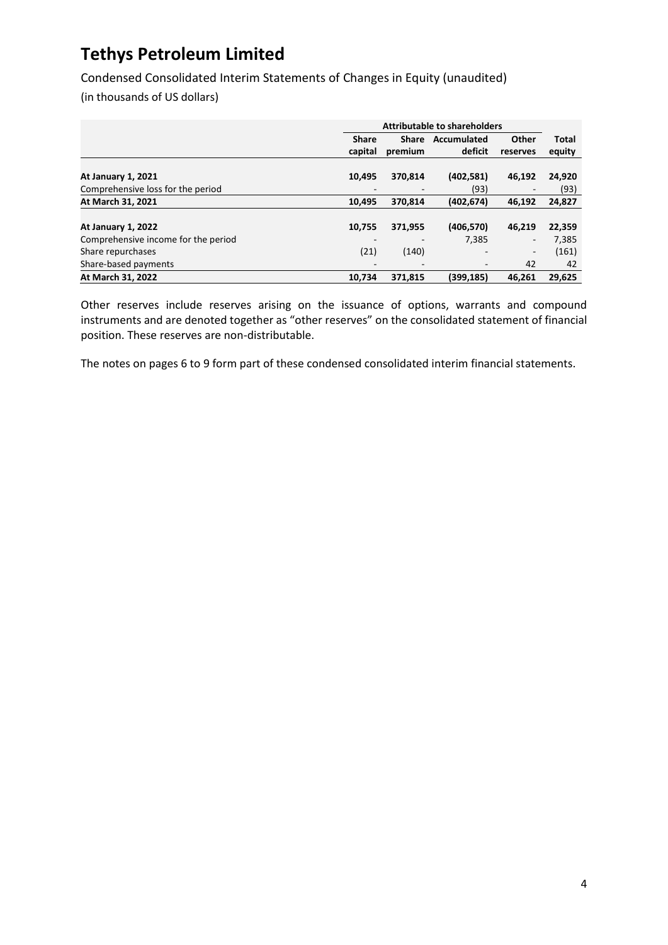Condensed Consolidated Interim Statements of Changes in Equity (unaudited)

(in thousands of US dollars)

|                                     | <b>Attributable to shareholders</b> |                          |             |                          |              |
|-------------------------------------|-------------------------------------|--------------------------|-------------|--------------------------|--------------|
|                                     | <b>Share</b>                        | <b>Share</b>             | Accumulated | Other                    | <b>Total</b> |
|                                     | capital                             | premium                  | deficit     | reserves                 | equity       |
|                                     |                                     |                          |             |                          |              |
| <b>At January 1, 2021</b>           | 10,495                              | 370,814                  | (402, 581)  | 46,192                   | 24,920       |
| Comprehensive loss for the period   |                                     |                          | (93)        |                          | (93)         |
| At March 31, 2021                   | 10.495                              | 370.814                  | (402, 674)  | 46,192                   | 24,827       |
|                                     |                                     |                          |             |                          |              |
| <b>At January 1, 2022</b>           | 10,755                              | 371,955                  | (406, 570)  | 46.219                   | 22,359       |
| Comprehensive income for the period |                                     |                          | 7.385       | $\overline{\phantom{a}}$ | 7,385        |
| Share repurchases                   | (21)                                | (140)                    | -           | $\overline{\phantom{a}}$ | (161)        |
| Share-based payments                |                                     | $\overline{\phantom{a}}$ | -           | 42                       | 42           |
| At March 31, 2022                   | 10.734                              | 371.815                  | (399.185)   | 46.261                   | 29.625       |

Other reserves include reserves arising on the issuance of options, warrants and compound instruments and are denoted together as "other reserves" on the consolidated statement of financial position. These reserves are non-distributable.

The notes on pages [6](#page-7-0) to 9 form part of these condensed consolidated interim financial statements.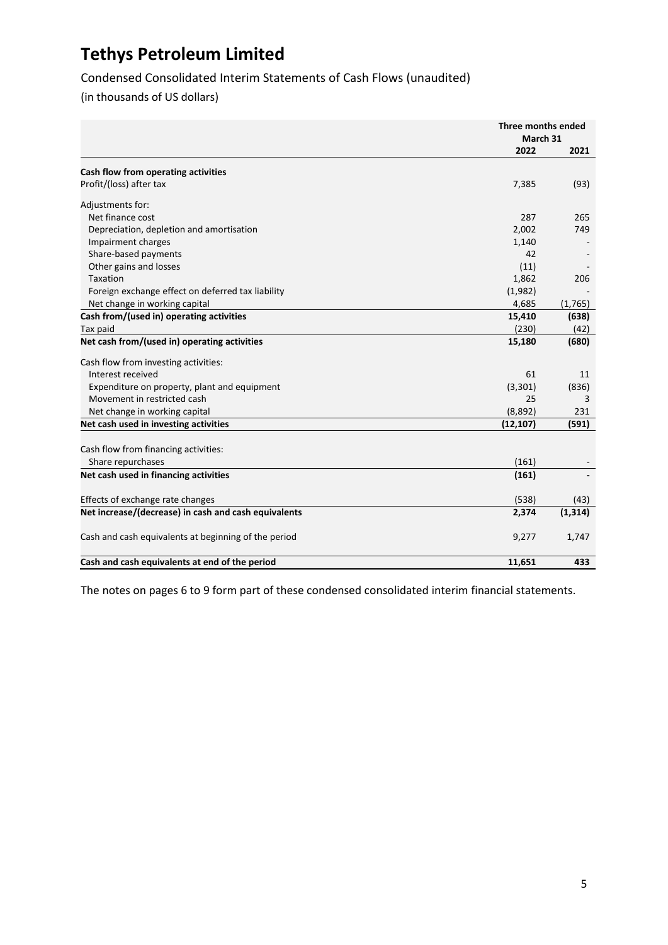Condensed Consolidated Interim Statements of Cash Flows (unaudited)

(in thousands of US dollars)

|                                                      | Three months ended |          |
|------------------------------------------------------|--------------------|----------|
|                                                      | March 31           |          |
|                                                      | 2022               | 2021     |
| Cash flow from operating activities                  |                    |          |
| Profit/(loss) after tax                              | 7,385              | (93)     |
| Adjustments for:                                     |                    |          |
| Net finance cost                                     | 287                | 265      |
| Depreciation, depletion and amortisation             | 2,002              | 749      |
| Impairment charges                                   | 1,140              |          |
| Share-based payments                                 | 42                 |          |
| Other gains and losses                               | (11)               |          |
| <b>Taxation</b>                                      | 1,862              | 206      |
| Foreign exchange effect on deferred tax liability    | (1,982)            |          |
| Net change in working capital                        | 4,685              | (1,765)  |
| Cash from/(used in) operating activities             | 15,410             | (638)    |
|                                                      | (230)              |          |
| Tax paid                                             |                    | (42)     |
| Net cash from/(used in) operating activities         | 15,180             | (680)    |
| Cash flow from investing activities:                 |                    |          |
| Interest received                                    | 61                 | 11       |
| Expenditure on property, plant and equipment         | (3, 301)           | (836)    |
| Movement in restricted cash                          | 25                 | 3        |
| Net change in working capital                        | (8,892)            | 231      |
| Net cash used in investing activities                | (12, 107)          | (591)    |
|                                                      |                    |          |
| Cash flow from financing activities:                 |                    |          |
| Share repurchases                                    | (161)              |          |
| Net cash used in financing activities                | (161)              |          |
| Effects of exchange rate changes                     | (538)              | (43)     |
| Net increase/(decrease) in cash and cash equivalents | 2,374              | (1, 314) |
| Cash and cash equivalents at beginning of the period | 9,277              | 1,747    |
| Cash and cash equivalents at end of the period       | 11,651             | 433      |

The notes on pages [6](#page-7-0) to 9 form part of these condensed consolidated interim financial statements.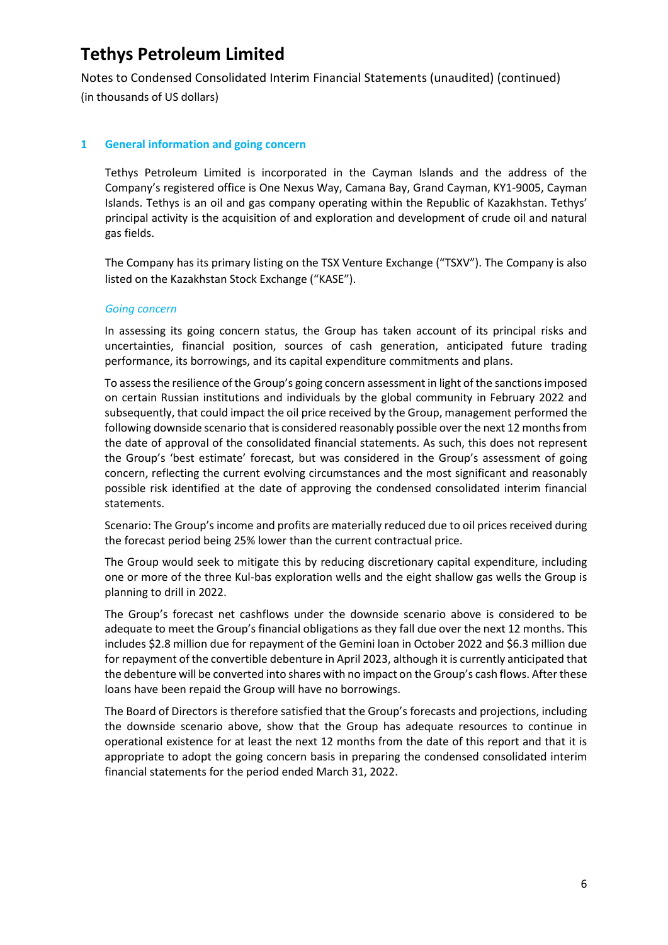Notes to Condensed Consolidated Interim Financial Statements (unaudited) (continued) (in thousands of US dollars)

### <span id="page-7-0"></span>**1 General information and going concern**

Tethys Petroleum Limited is incorporated in the Cayman Islands and the address of the Company's registered office is One Nexus Way, Camana Bay, Grand Cayman, KY1-9005, Cayman Islands. Tethys is an oil and gas company operating within the Republic of Kazakhstan. Tethys' principal activity is the acquisition of and exploration and development of crude oil and natural gas fields.

The Company has its primary listing on the TSX Venture Exchange ("TSXV"). The Company is also listed on the Kazakhstan Stock Exchange ("KASE").

#### *Going concern*

In assessing its going concern status, the Group has taken account of its principal risks and uncertainties, financial position, sources of cash generation, anticipated future trading performance, its borrowings, and its capital expenditure commitments and plans.

To assess the resilience of the Group's going concern assessment in light of the sanctions imposed on certain Russian institutions and individuals by the global community in February 2022 and subsequently, that could impact the oil price received by the Group, management performed the following downside scenario that is considered reasonably possible over the next 12 months from the date of approval of the consolidated financial statements. As such, this does not represent the Group's 'best estimate' forecast, but was considered in the Group's assessment of going concern, reflecting the current evolving circumstances and the most significant and reasonably possible risk identified at the date of approving the condensed consolidated interim financial statements.

Scenario: The Group's income and profits are materially reduced due to oil prices received during the forecast period being 25% lower than the current contractual price.

The Group would seek to mitigate this by reducing discretionary capital expenditure, including one or more of the three Kul-bas exploration wells and the eight shallow gas wells the Group is planning to drill in 2022.

The Group's forecast net cashflows under the downside scenario above is considered to be adequate to meet the Group's financial obligations as they fall due over the next 12 months. This includes \$2.8 million due for repayment of the Gemini loan in October 2022 and \$6.3 million due for repayment of the convertible debenture in April 2023, although it is currently anticipated that the debenture will be converted into shares with no impact on the Group's cash flows. After these loans have been repaid the Group will have no borrowings.

The Board of Directors is therefore satisfied that the Group's forecasts and projections, including the downside scenario above, show that the Group has adequate resources to continue in operational existence for at least the next 12 months from the date of this report and that it is appropriate to adopt the going concern basis in preparing the condensed consolidated interim financial statements for the period ended March 31, 2022.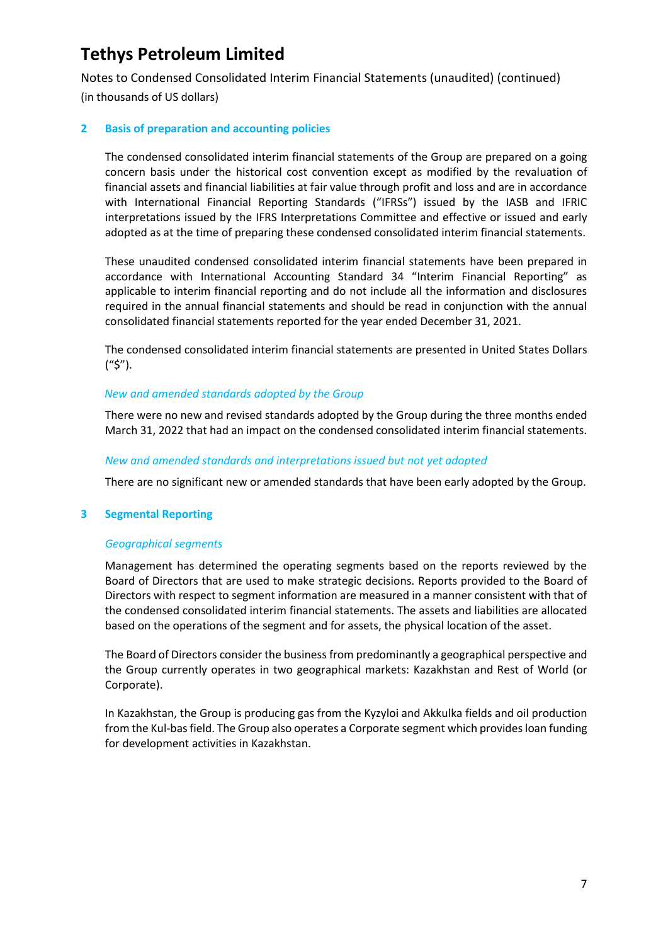Notes to Condensed Consolidated Interim Financial Statements (unaudited) (continued) (in thousands of US dollars)

### **2 Basis of preparation and accounting policies**

The condensed consolidated interim financial statements of the Group are prepared on a going concern basis under the historical cost convention except as modified by the revaluation of financial assets and financial liabilities at fair value through profit and loss and are in accordance with International Financial Reporting Standards ("IFRSs") issued by the IASB and IFRIC interpretations issued by the IFRS Interpretations Committee and effective or issued and early adopted as at the time of preparing these condensed consolidated interim financial statements.

These unaudited condensed consolidated interim financial statements have been prepared in accordance with International Accounting Standard 34 "Interim Financial Reporting" as applicable to interim financial reporting and do not include all the information and disclosures required in the annual financial statements and should be read in conjunction with the annual consolidated financial statements reported for the year ended December 31, 2021.

The condensed consolidated interim financial statements are presented in United States Dollars ("\$").

### *New and amended standards adopted by the Group*

There were no new and revised standards adopted by the Group during the three months ended March 31, 2022 that had an impact on the condensed consolidated interim financial statements.

### *New and amended standards and interpretations issued but not yet adopted*

There are no significant new or amended standards that have been early adopted by the Group.

#### **3 Segmental Reporting**

#### *Geographical segments*

Management has determined the operating segments based on the reports reviewed by the Board of Directors that are used to make strategic decisions. Reports provided to the Board of Directors with respect to segment information are measured in a manner consistent with that of the condensed consolidated interim financial statements. The assets and liabilities are allocated based on the operations of the segment and for assets, the physical location of the asset.

The Board of Directors consider the business from predominantly a geographical perspective and the Group currently operates in two geographical markets: Kazakhstan and Rest of World (or Corporate).

In Kazakhstan, the Group is producing gas from the Kyzyloi and Akkulka fields and oil production from the Kul-bas field. The Group also operates a Corporate segment which provides loan funding for development activities in Kazakhstan.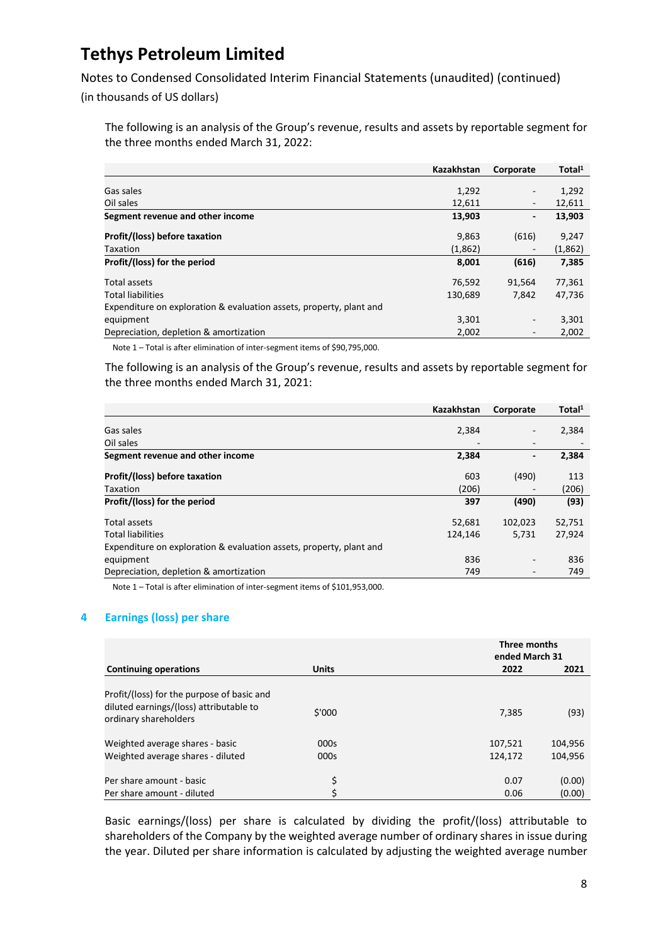Notes to Condensed Consolidated Interim Financial Statements (unaudited) (continued)

(in thousands of US dollars)

The following is an analysis of the Group's revenue, results and assets by reportable segment for the three months ended March 31, 2022:

|                                                                     | Kazakhstan | Corporate                | Total <sup>1</sup> |
|---------------------------------------------------------------------|------------|--------------------------|--------------------|
|                                                                     |            |                          |                    |
| Gas sales                                                           | 1,292      | $\overline{\phantom{a}}$ | 1,292              |
| Oil sales                                                           | 12,611     | $\overline{\phantom{a}}$ | 12,611             |
| Segment revenue and other income                                    | 13,903     | -                        | 13,903             |
| Profit/(loss) before taxation                                       | 9,863      | (616)                    | 9,247              |
| <b>Taxation</b>                                                     | (1,862)    | $\overline{\phantom{a}}$ | (1,862)            |
| Profit/(loss) for the period                                        | 8,001      | (616)                    | 7,385              |
| Total assets                                                        | 76,592     | 91,564                   | 77,361             |
| <b>Total liabilities</b>                                            | 130,689    | 7.842                    | 47,736             |
| Expenditure on exploration & evaluation assets, property, plant and |            |                          |                    |
| equipment                                                           | 3,301      | $\overline{\phantom{a}}$ | 3,301              |
| Depreciation, depletion & amortization                              | 2,002      | $\overline{\phantom{a}}$ | 2,002              |

Note 1 – Total is after elimination of inter-segment items of \$90,795,000.

The following is an analysis of the Group's revenue, results and assets by reportable segment for the three months ended March 31, 2021:

|                                                                     | Kazakhstan               | Corporate                | Total <sup>1</sup> |
|---------------------------------------------------------------------|--------------------------|--------------------------|--------------------|
| Gas sales                                                           | 2,384                    | -                        | 2,384              |
| Oil sales                                                           | $\overline{\phantom{a}}$ | $\overline{\phantom{0}}$ |                    |
| Segment revenue and other income                                    | 2,384                    | -                        | 2,384              |
| Profit/(loss) before taxation                                       | 603                      | (490)                    | 113                |
| <b>Taxation</b>                                                     | (206)                    |                          | (206)              |
| Profit/(loss) for the period                                        | 397                      | (490)                    | (93)               |
| Total assets                                                        | 52,681                   | 102,023                  | 52,751             |
| <b>Total liabilities</b>                                            | 124.146                  | 5,731                    | 27,924             |
| Expenditure on exploration & evaluation assets, property, plant and |                          |                          |                    |
| equipment                                                           | 836                      | -                        | 836                |
| Depreciation, depletion & amortization                              | 749                      | -                        | 749                |

Note 1 – Total is after elimination of inter-segment items of \$101,953,000.

### **4 Earnings (loss) per share**

|                                                                                       |              | Three months<br>ended March 31 |         |
|---------------------------------------------------------------------------------------|--------------|--------------------------------|---------|
| <b>Continuing operations</b>                                                          | <b>Units</b> | 2022                           | 2021    |
| Profit/(loss) for the purpose of basic and<br>diluted earnings/(loss) attributable to |              |                                |         |
| ordinary shareholders                                                                 | \$'000       | 7,385                          | (93)    |
| Weighted average shares - basic                                                       | 000s         | 107,521                        | 104,956 |
| Weighted average shares - diluted                                                     | 000s         | 124,172                        | 104,956 |
| Per share amount - basic                                                              | \$           | 0.07                           | (0.00)  |
| Per share amount - diluted                                                            | \$           | 0.06                           | (0.00)  |

Basic earnings/(loss) per share is calculated by dividing the profit/(loss) attributable to shareholders of the Company by the weighted average number of ordinary shares in issue during the year. Diluted per share information is calculated by adjusting the weighted average number